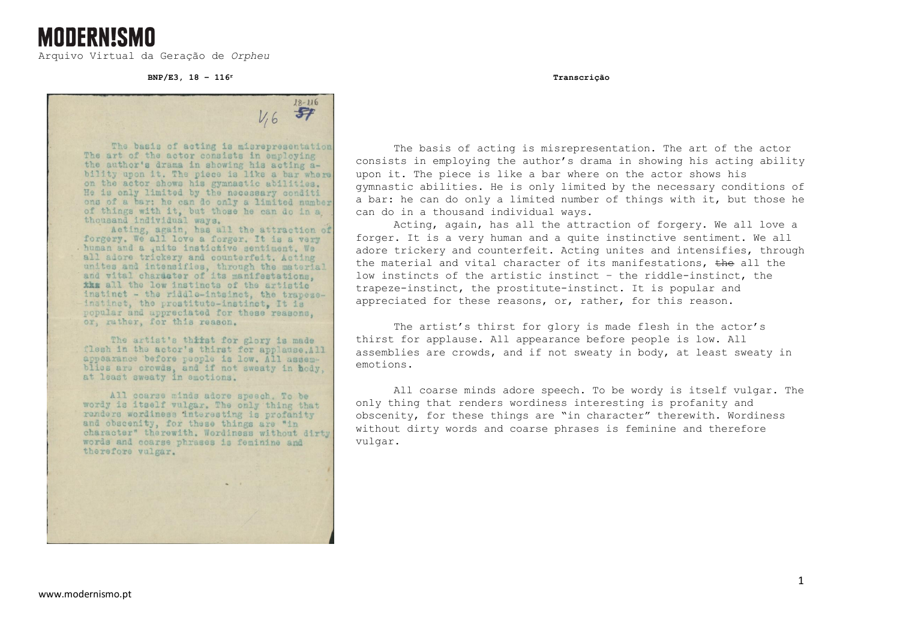Arquivo Virtual da Geração de *Orpheu*

**MODERNISMO** 

**BNP/E3, 18 – 116<sup>r</sup> Transcrição**

 $18 - 116$  $\mathcal{F}$  $V,6$ The basis of acting is misrepresentation

The art of the actor consists in employing the author's drama in showing his acting a-<br>bility upon it. The piece is like a bar where on the actor shows his gymnastic abilities. He is only limited by the necessary conditi ons of a bar: he can do only a limited number of things with it, but those he can do in a, thousand individual ways.<br>Acting, again, has all the attraction of

forgery. We all love a forger. It is a very human and a , nite instictive sentiment. We all adore trickery and counterfeit. Acting unites and intensifies, through the material<br>and vital chardater of its manifestations, the all the low instincts of the artistic instinct - the riddle-intsinct, the trapezeinstinct, the prostitute-instinct, It is popular and appreciated for these reasons. or, rather, for this reason.

The artist's thirst for glory is made flesh in the actor's thirst for applause.All appearance before people is low. All assemblies are crowds, and if not sweaty in hody, at least sweaty in emotions.

All coarse minds adore speech. To be wordy is itself vulgar. The only thing that renders wordiness interesting is profanity and obscenity, for these things are "in character" therewith. Wordiness without dirty words and coarse phrases is feminine and therefore vulgar.

The basis of acting is misrepresentation. The art of the actor consists in employing the author's drama in showing his acting ability upon it. The piece is like a bar where on the actor shows his gymnastic abilities. He is only limited by the necessary conditions of a bar: he can do only a limited number of things with it, but those he can do in a thousand individual ways.

Acting, again, has all the attraction of forgery. We all love a forger. It is a very human and a quite instinctive sentiment. We all adore trickery and counterfeit. Acting unites and intensifies, through the material and vital character of its manifestations,  $the$  all the low instincts of the artistic instinct – the riddle-instinct, the trapeze-instinct, the prostitute-instinct. It is popular and appreciated for these reasons, or, rather, for this reason.

The artist's thirst for glory is made flesh in the actor's thirst for applause. All appearance before people is low. All assemblies are crowds, and if not sweaty in body, at least sweaty in emotions.

All coarse minds adore speech. To be wordy is itself vulgar. The only thing that renders wordiness interesting is profanity and obscenity, for these things are "in character" therewith. Wordiness without dirty words and coarse phrases is feminine and therefore vulgar.